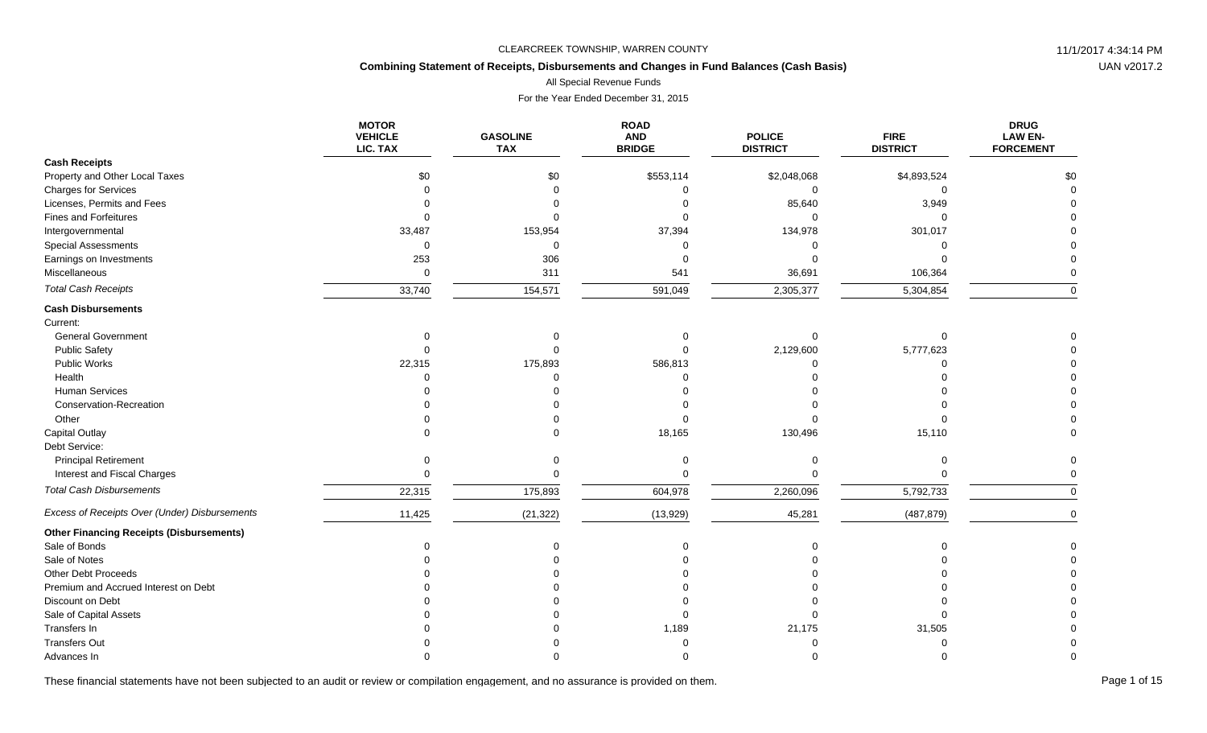## **Combining Statement of Receipts, Disbursements and Changes in Fund Balances (Cash Basis)**

All Special Revenue Funds

For the Year Ended December 31, 2015

|                                                 | <b>MOTOR</b><br><b>VEHICLE</b><br>LIC. TAX | <b>GASOLINE</b><br><b>TAX</b> | <b>ROAD</b><br><b>AND</b><br><b>BRIDGE</b> | <b>POLICE</b><br><b>DISTRICT</b> | <b>FIRE</b><br><b>DISTRICT</b> | <b>DRUG</b><br><b>LAW EN-</b><br><b>FORCEMENT</b> |
|-------------------------------------------------|--------------------------------------------|-------------------------------|--------------------------------------------|----------------------------------|--------------------------------|---------------------------------------------------|
| <b>Cash Receipts</b>                            |                                            |                               |                                            |                                  |                                |                                                   |
| Property and Other Local Taxes                  | \$0                                        | \$0                           | \$553,114                                  | \$2,048,068                      | \$4,893,524                    | \$0                                               |
| <b>Charges for Services</b>                     | $\Omega$                                   |                               | $\Omega$                                   | $\Omega$                         | $\Omega$                       |                                                   |
| Licenses, Permits and Fees                      |                                            |                               |                                            | 85,640                           | 3,949                          |                                                   |
| <b>Fines and Forfeitures</b>                    |                                            |                               |                                            | $\Omega$                         | $\Omega$                       |                                                   |
| Intergovernmental                               | 33,487                                     | 153,954                       | 37,394                                     | 134,978                          | 301,017                        |                                                   |
| <b>Special Assessments</b>                      | $\Omega$                                   | $\Omega$                      |                                            |                                  |                                |                                                   |
| Earnings on Investments                         | 253                                        | 306                           |                                            |                                  |                                |                                                   |
| Miscellaneous                                   | $\mathbf 0$                                | 311                           | 541                                        | 36,691                           | 106,364                        |                                                   |
| <b>Total Cash Receipts</b>                      | 33,740                                     | 154,571                       | 591,049                                    | 2,305,377                        | 5,304,854                      | $\Omega$                                          |
| <b>Cash Disbursements</b>                       |                                            |                               |                                            |                                  |                                |                                                   |
| Current:                                        |                                            |                               |                                            |                                  |                                |                                                   |
| <b>General Government</b>                       | $\Omega$                                   |                               |                                            | $\Omega$                         |                                |                                                   |
| <b>Public Safety</b>                            |                                            |                               |                                            | 2,129,600                        | 5,777,623                      |                                                   |
| <b>Public Works</b>                             | 22,315                                     | 175,893                       | 586,813                                    | ∩                                |                                |                                                   |
| Health                                          |                                            |                               |                                            |                                  |                                |                                                   |
| <b>Human Services</b>                           |                                            |                               |                                            |                                  |                                |                                                   |
| Conservation-Recreation                         |                                            |                               |                                            |                                  |                                |                                                   |
| Other                                           |                                            |                               |                                            |                                  |                                |                                                   |
| Capital Outlay                                  |                                            |                               | 18,165                                     | 130,496                          | 15,110                         |                                                   |
| Debt Service:                                   |                                            |                               |                                            |                                  |                                |                                                   |
| <b>Principal Retirement</b>                     | $\Omega$                                   |                               |                                            | $\Omega$                         | $\Omega$                       |                                                   |
| Interest and Fiscal Charges                     | $\Omega$                                   |                               |                                            |                                  | $\Omega$                       |                                                   |
| <b>Total Cash Disbursements</b>                 | 22,315                                     | 175,893                       | 604,978                                    | 2,260,096                        | 5,792,733                      | <sup>0</sup>                                      |
| Excess of Receipts Over (Under) Disbursements   | 11,425                                     | (21, 322)                     | (13,929)                                   | 45,281                           | (487, 879)                     | $\Omega$                                          |
| <b>Other Financing Receipts (Disbursements)</b> |                                            |                               |                                            |                                  |                                |                                                   |
| Sale of Bonds                                   |                                            |                               |                                            |                                  |                                |                                                   |
| Sale of Notes                                   |                                            |                               |                                            |                                  |                                |                                                   |
| Other Debt Proceeds                             |                                            |                               |                                            |                                  |                                |                                                   |
| Premium and Accrued Interest on Debt            |                                            |                               |                                            |                                  |                                |                                                   |
| Discount on Debt                                |                                            |                               |                                            |                                  |                                |                                                   |
| Sale of Capital Assets                          |                                            |                               |                                            |                                  |                                |                                                   |
| Transfers In                                    |                                            |                               | 1,189                                      | 21,175                           | 31,505                         |                                                   |
| <b>Transfers Out</b>                            |                                            |                               |                                            |                                  |                                |                                                   |
| Advances In                                     |                                            |                               |                                            |                                  |                                |                                                   |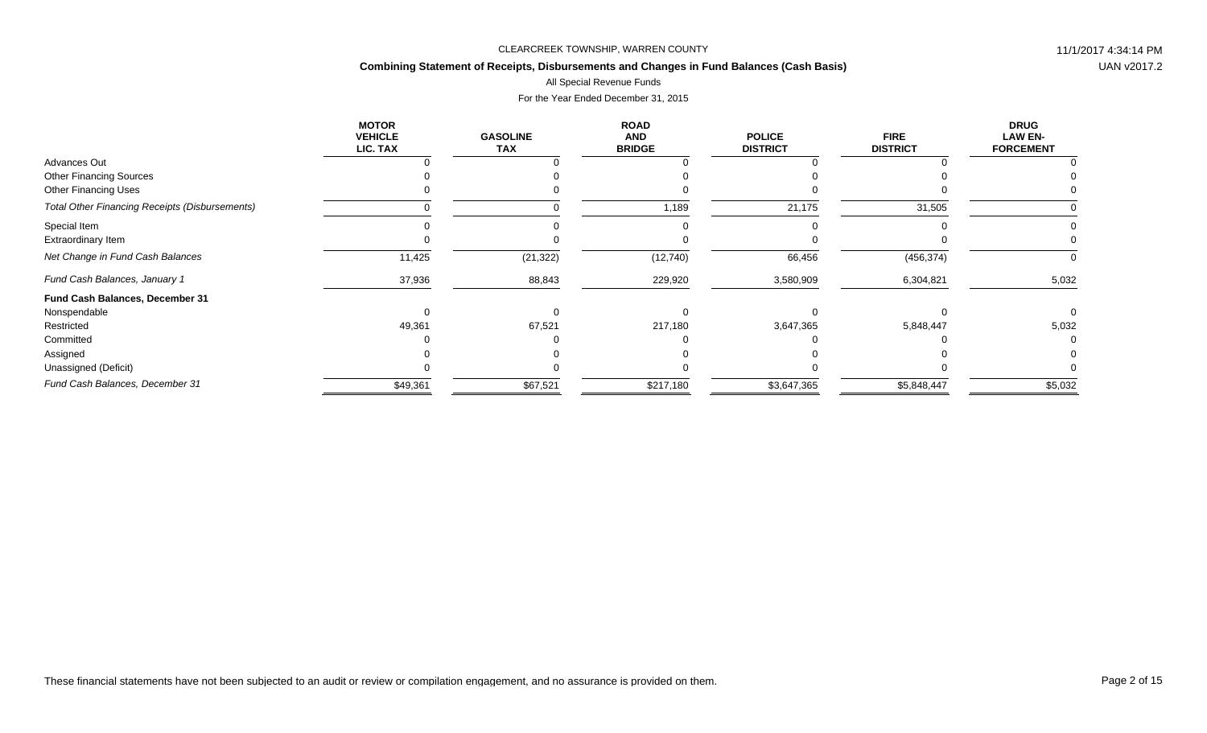## **Combining Statement of Receipts, Disbursements and Changes in Fund Balances (Cash Basis)**

### All Special Revenue Funds

|                                                       | <b>MOTOR</b><br><b>VEHICLE</b><br>LIC. TAX | <b>GASOLINE</b><br><b>TAX</b> | <b>ROAD</b><br><b>AND</b><br><b>BRIDGE</b> | <b>POLICE</b><br><b>DISTRICT</b> | <b>FIRE</b><br><b>DISTRICT</b> | <b>DRUG</b><br><b>LAW EN-</b><br><b>FORCEMENT</b> |
|-------------------------------------------------------|--------------------------------------------|-------------------------------|--------------------------------------------|----------------------------------|--------------------------------|---------------------------------------------------|
| Advances Out                                          |                                            |                               |                                            |                                  |                                |                                                   |
| <b>Other Financing Sources</b>                        |                                            |                               |                                            |                                  |                                |                                                   |
| <b>Other Financing Uses</b>                           |                                            |                               |                                            |                                  |                                |                                                   |
| <b>Total Other Financing Receipts (Disbursements)</b> |                                            |                               | 1,189                                      | 21,175                           | 31,505                         |                                                   |
| Special Item                                          |                                            |                               |                                            |                                  |                                |                                                   |
| <b>Extraordinary Item</b>                             |                                            |                               |                                            |                                  |                                |                                                   |
| Net Change in Fund Cash Balances                      | 11,425                                     | (21, 322)                     | (12, 740)                                  | 66,456                           | (456, 374)                     | 0                                                 |
| Fund Cash Balances, January 1                         | 37,936                                     | 88,843                        | 229,920                                    | 3,580,909                        | 6,304,821                      | 5,032                                             |
| Fund Cash Balances, December 31                       |                                            |                               |                                            |                                  |                                |                                                   |
| Nonspendable                                          |                                            |                               |                                            |                                  |                                |                                                   |
| Restricted                                            | 49,361                                     | 67,521                        | 217,180                                    | 3,647,365                        | 5,848,447                      | 5,032                                             |
| Committed                                             |                                            |                               |                                            |                                  |                                |                                                   |
| Assigned                                              |                                            |                               |                                            |                                  |                                |                                                   |
| Unassigned (Deficit)                                  |                                            |                               |                                            |                                  |                                |                                                   |
| Fund Cash Balances, December 31                       | \$49,361                                   | \$67,521                      | \$217,180                                  | \$3,647,365                      | \$5,848,447                    | \$5,032                                           |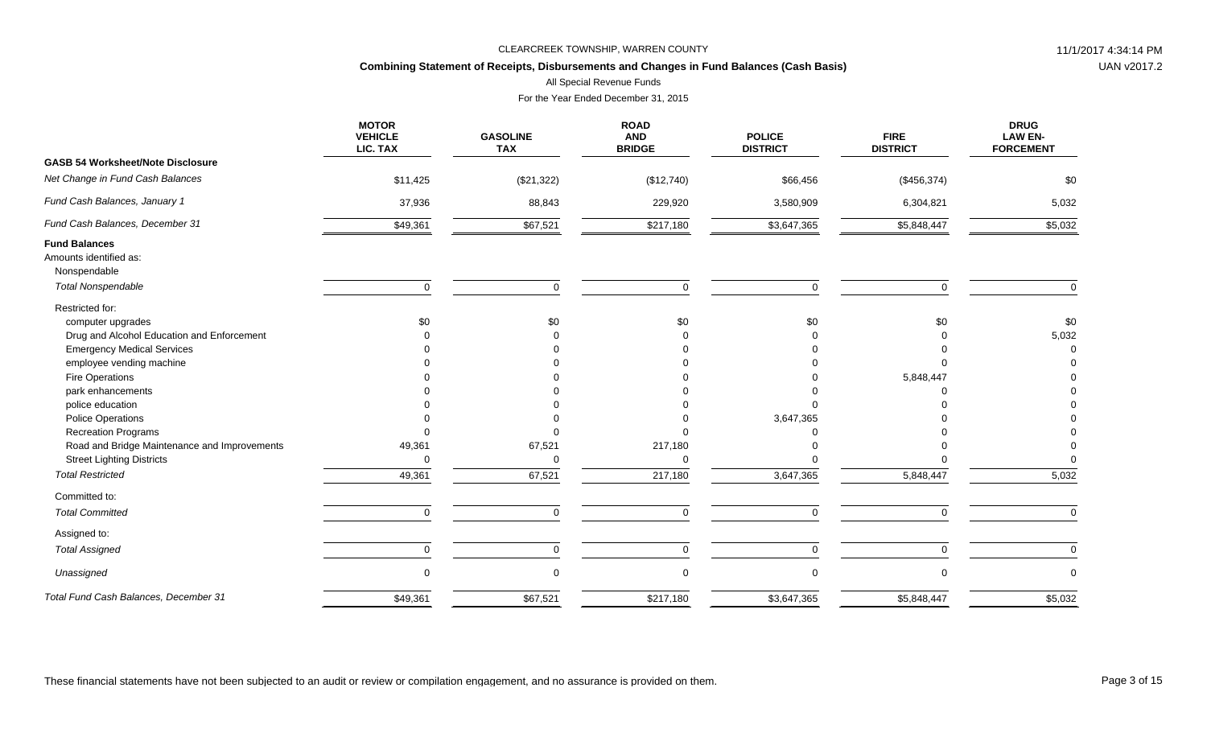## **Combining Statement of Receipts, Disbursements and Changes in Fund Balances (Cash Basis)**

All Special Revenue Funds

|                                                                                                                                                                                                                                                                           | <b>MOTOR</b><br><b>VEHICLE</b><br>LIC. TAX | <b>GASOLINE</b><br><b>TAX</b> | <b>ROAD</b><br><b>AND</b><br><b>BRIDGE</b> | <b>POLICE</b><br><b>DISTRICT</b> | <b>FIRE</b><br><b>DISTRICT</b> | <b>DRUG</b><br><b>LAW EN-</b><br><b>FORCEMENT</b> |
|---------------------------------------------------------------------------------------------------------------------------------------------------------------------------------------------------------------------------------------------------------------------------|--------------------------------------------|-------------------------------|--------------------------------------------|----------------------------------|--------------------------------|---------------------------------------------------|
| <b>GASB 54 Worksheet/Note Disclosure</b>                                                                                                                                                                                                                                  |                                            |                               |                                            |                                  |                                |                                                   |
| Net Change in Fund Cash Balances                                                                                                                                                                                                                                          | \$11,425                                   | (\$21,322)                    | (\$12,740)                                 | \$66,456                         | (\$456,374)                    | \$0                                               |
| Fund Cash Balances, January 1                                                                                                                                                                                                                                             | 37,936                                     | 88,843                        | 229,920                                    | 3,580,909                        | 6,304,821                      | 5,032                                             |
| Fund Cash Balances, December 31                                                                                                                                                                                                                                           | \$49,361                                   | \$67,521                      | \$217,180                                  | \$3,647,365                      | \$5,848,447                    | \$5,032                                           |
| <b>Fund Balances</b><br>Amounts identified as:<br>Nonspendable                                                                                                                                                                                                            |                                            |                               |                                            |                                  |                                |                                                   |
| <b>Total Nonspendable</b>                                                                                                                                                                                                                                                 | $\mathbf 0$                                | $\mathbf 0$                   | $\Omega$                                   | $\mathbf 0$                      | $\Omega$                       | $\mathbf 0$                                       |
| Restricted for:<br>computer upgrades<br>Drug and Alcohol Education and Enforcement<br><b>Emergency Medical Services</b><br>employee vending machine<br>Fire Operations<br>park enhancements<br>police education<br><b>Police Operations</b><br><b>Recreation Programs</b> | \$0                                        | \$0                           | \$0                                        | \$0<br>3,647,365                 | \$0<br>5,848,447               | \$0<br>5,032                                      |
| Road and Bridge Maintenance and Improvements                                                                                                                                                                                                                              | 49,361                                     | 67,521                        | 217,180                                    |                                  |                                |                                                   |
| <b>Street Lighting Districts</b>                                                                                                                                                                                                                                          | 0                                          | $\Omega$                      | $\Omega$                                   |                                  |                                | $\Omega$                                          |
| <b>Total Restricted</b>                                                                                                                                                                                                                                                   | 49,361                                     | 67,521                        | 217,180                                    | 3,647,365                        | 5,848,447                      | 5,032                                             |
| Committed to:                                                                                                                                                                                                                                                             |                                            |                               |                                            |                                  |                                |                                                   |
| <b>Total Committed</b>                                                                                                                                                                                                                                                    | $\Omega$                                   | $\Omega$                      | $\Omega$                                   | $\Omega$                         | $\Omega$                       | $\Omega$                                          |
| Assigned to:                                                                                                                                                                                                                                                              |                                            |                               |                                            |                                  |                                |                                                   |
| <b>Total Assigned</b>                                                                                                                                                                                                                                                     | 0                                          | $\mathbf 0$                   | $\mathbf 0$                                | 0                                | 0                              | $\mathbf 0$                                       |
| Unassigned                                                                                                                                                                                                                                                                | 0                                          | $\mathbf 0$                   |                                            | $\mathbf 0$                      | $\Omega$                       | $\mathbf 0$                                       |
| Total Fund Cash Balances, December 31                                                                                                                                                                                                                                     | \$49,361                                   | \$67,521                      | \$217,180                                  | \$3,647,365                      | \$5,848,447                    | \$5,032                                           |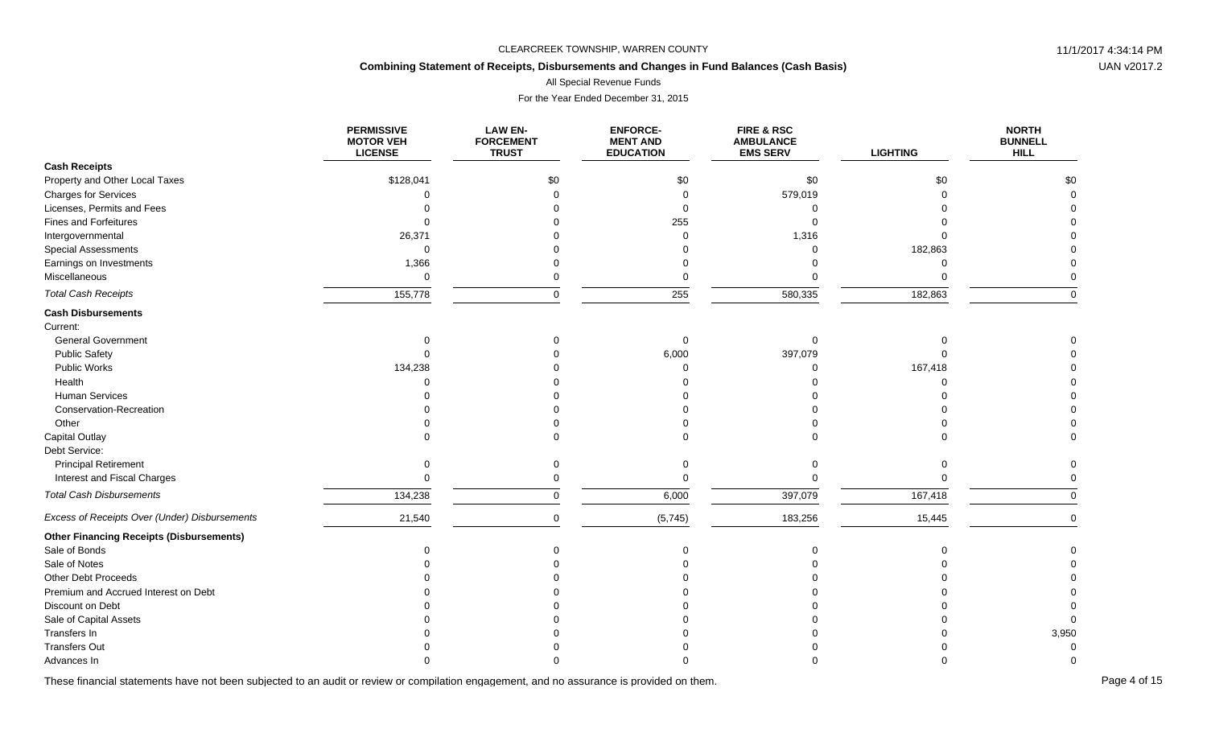# **Combining Statement of Receipts, Disbursements and Changes in Fund Balances (Cash Basis)**

All Special Revenue Funds

For the Year Ended December 31, 2015

|                                                 | <b>PERMISSIVE</b><br><b>MOTOR VEH</b><br><b>LICENSE</b> | <b>LAW EN-</b><br><b>FORCEMENT</b><br><b>TRUST</b> | <b>ENFORCE-</b><br><b>MENT AND</b><br><b>EDUCATION</b> | <b>FIRE &amp; RSC</b><br><b>AMBULANCE</b><br><b>EMS SERV</b> | <b>LIGHTING</b> | <b>NORTH</b><br><b>BUNNELL</b><br><b>HILL</b> |
|-------------------------------------------------|---------------------------------------------------------|----------------------------------------------------|--------------------------------------------------------|--------------------------------------------------------------|-----------------|-----------------------------------------------|
| <b>Cash Receipts</b>                            |                                                         |                                                    |                                                        |                                                              |                 |                                               |
| Property and Other Local Taxes                  | \$128,041                                               | \$0                                                | \$0                                                    | \$0                                                          | \$0             | \$0                                           |
| <b>Charges for Services</b>                     |                                                         |                                                    | $\Omega$                                               | 579,019                                                      |                 |                                               |
| Licenses, Permits and Fees                      |                                                         |                                                    | $\Omega$                                               | ∩                                                            |                 |                                               |
| <b>Fines and Forfeitures</b>                    |                                                         |                                                    | 255                                                    |                                                              |                 |                                               |
| Intergovernmental                               | 26,371                                                  |                                                    | $\Omega$                                               | 1,316                                                        |                 |                                               |
| <b>Special Assessments</b>                      | $\Omega$                                                |                                                    |                                                        | $\Omega$                                                     | 182,863         |                                               |
| Earnings on Investments                         | 1,366                                                   |                                                    |                                                        |                                                              | $\Omega$        |                                               |
| Miscellaneous                                   | $\mathbf 0$                                             |                                                    | 0                                                      |                                                              |                 |                                               |
| <b>Total Cash Receipts</b>                      | 155,778                                                 | $\Omega$                                           | 255                                                    | 580,335                                                      | 182,863         | $\Omega$                                      |
| <b>Cash Disbursements</b>                       |                                                         |                                                    |                                                        |                                                              |                 |                                               |
| Current:                                        |                                                         |                                                    |                                                        |                                                              |                 |                                               |
| <b>General Government</b>                       |                                                         |                                                    | $\Omega$                                               | $\Omega$                                                     |                 |                                               |
| <b>Public Safety</b>                            |                                                         |                                                    | 6,000                                                  | 397,079                                                      |                 |                                               |
| Public Works                                    | 134,238                                                 |                                                    | $\Omega$                                               | $\Omega$                                                     | 167,418         |                                               |
| Health                                          |                                                         |                                                    |                                                        |                                                              | $\Omega$        |                                               |
| Human Services                                  |                                                         |                                                    |                                                        |                                                              |                 |                                               |
| Conservation-Recreation                         |                                                         |                                                    |                                                        |                                                              |                 |                                               |
| Other                                           |                                                         |                                                    |                                                        |                                                              |                 |                                               |
| Capital Outlay                                  |                                                         |                                                    |                                                        |                                                              |                 |                                               |
| Debt Service:                                   |                                                         |                                                    |                                                        |                                                              |                 |                                               |
| <b>Principal Retirement</b>                     |                                                         |                                                    |                                                        | $\Omega$                                                     |                 |                                               |
| Interest and Fiscal Charges                     |                                                         |                                                    | $\Omega$                                               | $\Omega$                                                     | U               |                                               |
| <b>Total Cash Disbursements</b>                 | 134,238                                                 | $\Omega$                                           | 6,000                                                  | 397,079                                                      | 167,418         | $\Omega$                                      |
| Excess of Receipts Over (Under) Disbursements   | 21,540                                                  | $\Omega$                                           | (5,745)                                                | 183,256                                                      | 15,445          | $\Omega$                                      |
| <b>Other Financing Receipts (Disbursements)</b> |                                                         |                                                    |                                                        |                                                              |                 |                                               |
| Sale of Bonds                                   |                                                         |                                                    |                                                        | $\Omega$                                                     |                 |                                               |
| Sale of Notes                                   |                                                         |                                                    |                                                        |                                                              |                 |                                               |
| Other Debt Proceeds                             |                                                         |                                                    |                                                        |                                                              |                 |                                               |
| Premium and Accrued Interest on Debt            |                                                         |                                                    |                                                        |                                                              |                 |                                               |
| Discount on Debt                                |                                                         |                                                    |                                                        |                                                              |                 |                                               |
| Sale of Capital Assets                          |                                                         |                                                    |                                                        |                                                              |                 |                                               |
| Transfers In                                    |                                                         |                                                    |                                                        |                                                              |                 | 3,950                                         |
| <b>Transfers Out</b>                            |                                                         |                                                    |                                                        |                                                              |                 |                                               |
| Advances In                                     |                                                         |                                                    |                                                        |                                                              |                 |                                               |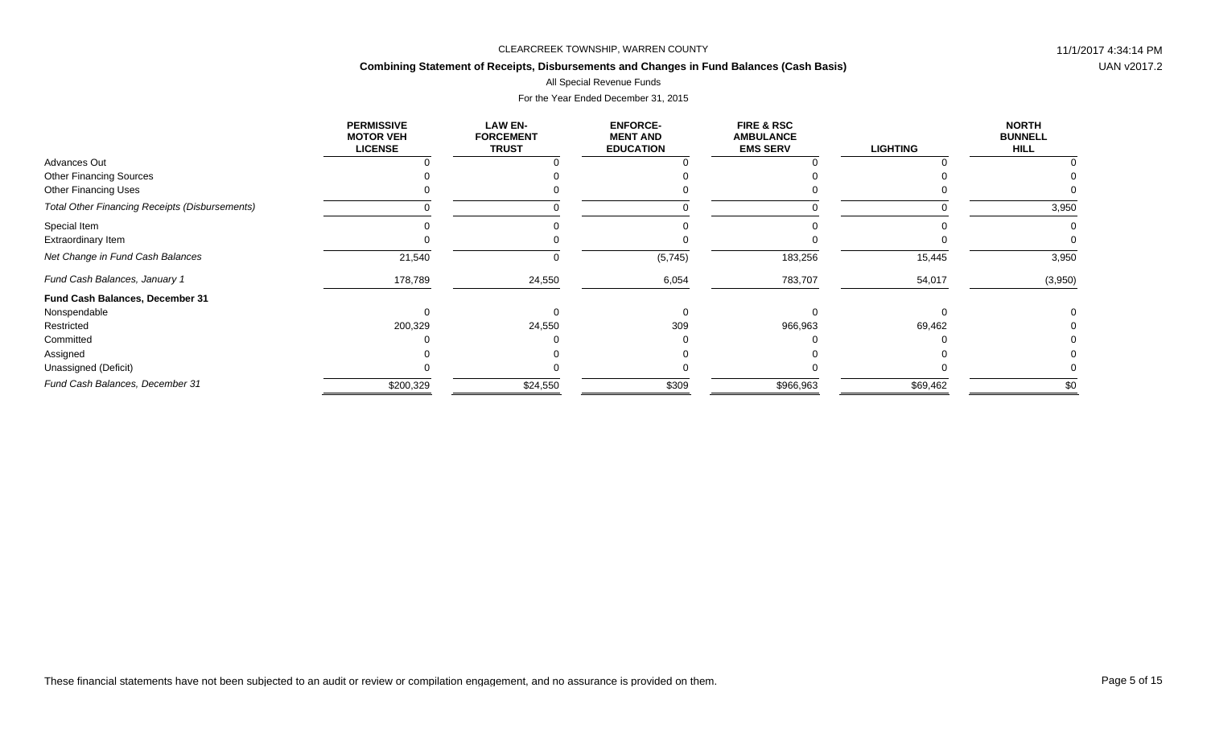# **Combining Statement of Receipts, Disbursements and Changes in Fund Balances (Cash Basis)**

All Special Revenue Funds

|                                                       | <b>PERMISSIVE</b><br><b>MOTOR VEH</b><br><b>LICENSE</b> | <b>LAW EN-</b><br><b>FORCEMENT</b><br><b>TRUST</b> | <b>ENFORCE-</b><br><b>MENT AND</b><br><b>EDUCATION</b> | <b>FIRE &amp; RSC</b><br><b>AMBULANCE</b><br><b>EMS SERV</b> | <b>LIGHTING</b> | <b>NORTH</b><br><b>BUNNELL</b><br><b>HILL</b> |
|-------------------------------------------------------|---------------------------------------------------------|----------------------------------------------------|--------------------------------------------------------|--------------------------------------------------------------|-----------------|-----------------------------------------------|
| Advances Out                                          |                                                         |                                                    |                                                        |                                                              |                 |                                               |
| <b>Other Financing Sources</b>                        |                                                         |                                                    |                                                        |                                                              |                 |                                               |
| <b>Other Financing Uses</b>                           |                                                         |                                                    |                                                        |                                                              |                 |                                               |
| <b>Total Other Financing Receipts (Disbursements)</b> |                                                         |                                                    |                                                        |                                                              |                 | 3,950                                         |
| Special Item                                          |                                                         |                                                    |                                                        |                                                              |                 |                                               |
| Extraordinary Item                                    |                                                         |                                                    |                                                        |                                                              |                 |                                               |
| Net Change in Fund Cash Balances                      | 21,540                                                  |                                                    | (5,745)                                                | 183,256                                                      | 15,445          | 3,950                                         |
| Fund Cash Balances, January 1                         | 178,789                                                 | 24,550                                             | 6,054                                                  | 783,707                                                      | 54,017          | (3,950)                                       |
| Fund Cash Balances, December 31                       |                                                         |                                                    |                                                        |                                                              |                 |                                               |
| Nonspendable                                          |                                                         |                                                    |                                                        |                                                              |                 |                                               |
| Restricted                                            | 200,329                                                 | 24,550                                             | 309                                                    | 966,963                                                      | 69,462          |                                               |
| Committed                                             |                                                         |                                                    |                                                        |                                                              |                 |                                               |
| Assigned                                              |                                                         |                                                    |                                                        |                                                              |                 |                                               |
| Unassigned (Deficit)                                  |                                                         |                                                    |                                                        |                                                              |                 |                                               |
| Fund Cash Balances, December 31                       | \$200,329                                               | \$24,550                                           | \$309                                                  | \$966,963                                                    | \$69,462        | \$0                                           |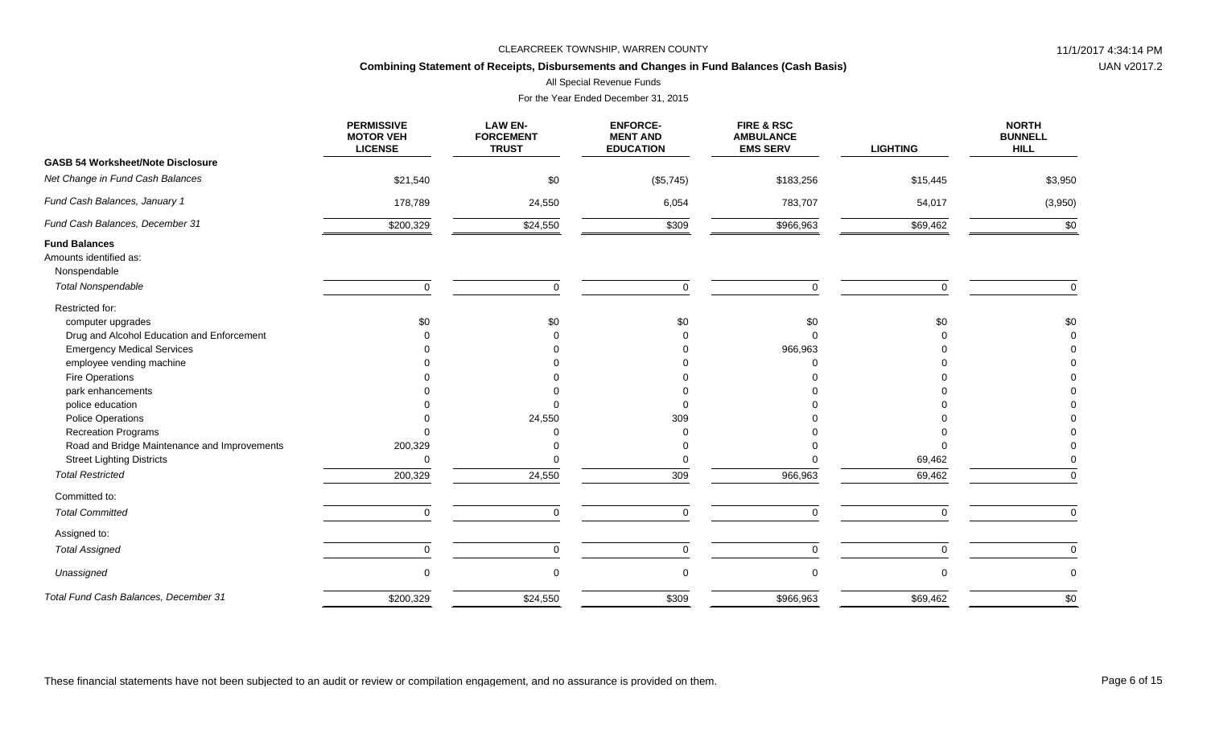## **Combining Statement of Receipts, Disbursements and Changes in Fund Balances (Cash Basis)**

All Special Revenue Funds

|                                                                | <b>PERMISSIVE</b><br><b>MOTOR VEH</b><br><b>LICENSE</b> | <b>LAW EN-</b><br><b>FORCEMENT</b><br><b>TRUST</b> | <b>ENFORCE-</b><br><b>MENT AND</b><br><b>EDUCATION</b> | FIRE & RSC<br><b>AMBULANCE</b><br><b>EMS SERV</b> | <b>LIGHTING</b> | <b>NORTH</b><br><b>BUNNELL</b><br><b>HILL</b> |
|----------------------------------------------------------------|---------------------------------------------------------|----------------------------------------------------|--------------------------------------------------------|---------------------------------------------------|-----------------|-----------------------------------------------|
| <b>GASB 54 Worksheet/Note Disclosure</b>                       |                                                         |                                                    |                                                        |                                                   |                 |                                               |
| Net Change in Fund Cash Balances                               | \$21,540                                                | \$0                                                | (\$5,745)                                              | \$183,256                                         | \$15,445        | \$3,950                                       |
| Fund Cash Balances, January 1                                  | 178,789                                                 | 24,550                                             | 6,054                                                  | 783,707                                           | 54,017          | (3,950)                                       |
| Fund Cash Balances, December 31                                | \$200,329                                               | \$24,550                                           | \$309                                                  | \$966,963                                         | \$69,462        | \$0                                           |
| <b>Fund Balances</b><br>Amounts identified as:<br>Nonspendable |                                                         |                                                    |                                                        |                                                   |                 |                                               |
| <b>Total Nonspendable</b>                                      | $\mathbf 0$                                             | $\Omega$                                           | $\mathbf 0$                                            | $\mathbf 0$                                       | $\Omega$        | $\mathbf 0$                                   |
| Restricted for:<br>computer upgrades                           | \$0                                                     | \$0                                                | \$0                                                    | \$0                                               | \$0             | \$0                                           |
| Drug and Alcohol Education and Enforcement                     |                                                         |                                                    |                                                        | $\Omega$                                          |                 | $\Omega$                                      |
| <b>Emergency Medical Services</b>                              |                                                         |                                                    |                                                        | 966,963                                           |                 |                                               |
| employee vending machine                                       |                                                         |                                                    |                                                        |                                                   |                 |                                               |
| Fire Operations                                                |                                                         |                                                    |                                                        |                                                   |                 |                                               |
| park enhancements                                              |                                                         |                                                    |                                                        |                                                   |                 |                                               |
| police education                                               |                                                         |                                                    |                                                        |                                                   |                 |                                               |
| <b>Police Operations</b>                                       |                                                         | 24,550                                             | 309                                                    |                                                   |                 |                                               |
| <b>Recreation Programs</b>                                     |                                                         |                                                    |                                                        |                                                   |                 |                                               |
| Road and Bridge Maintenance and Improvements                   | 200,329                                                 |                                                    |                                                        |                                                   |                 |                                               |
| <b>Street Lighting Districts</b>                               | $\Omega$                                                |                                                    | $\Omega$                                               |                                                   | 69,462          |                                               |
| <b>Total Restricted</b>                                        | 200,329                                                 | 24,550                                             | 309                                                    | 966,963                                           | 69,462          | $\Omega$                                      |
| Committed to:                                                  |                                                         |                                                    |                                                        |                                                   |                 |                                               |
| <b>Total Committed</b>                                         | $\Omega$                                                | $\Omega$                                           | $\mathbf 0$                                            | $\Omega$                                          | $\Omega$        | $\Omega$                                      |
| Assigned to:                                                   |                                                         |                                                    |                                                        |                                                   |                 |                                               |
| <b>Total Assigned</b>                                          | 0                                                       | 0                                                  | $\mathbf 0$                                            | $\mathbf 0$                                       | 0               | $\mathbf 0$                                   |
| Unassigned                                                     | $\mathbf 0$                                             | $\Omega$                                           | $\mathbf 0$                                            | $\mathbf 0$                                       | $\Omega$        | $\mathbf 0$                                   |
| Total Fund Cash Balances, December 31                          | \$200,329                                               | \$24,550                                           | \$309                                                  | \$966,963                                         | \$69,462        | \$0                                           |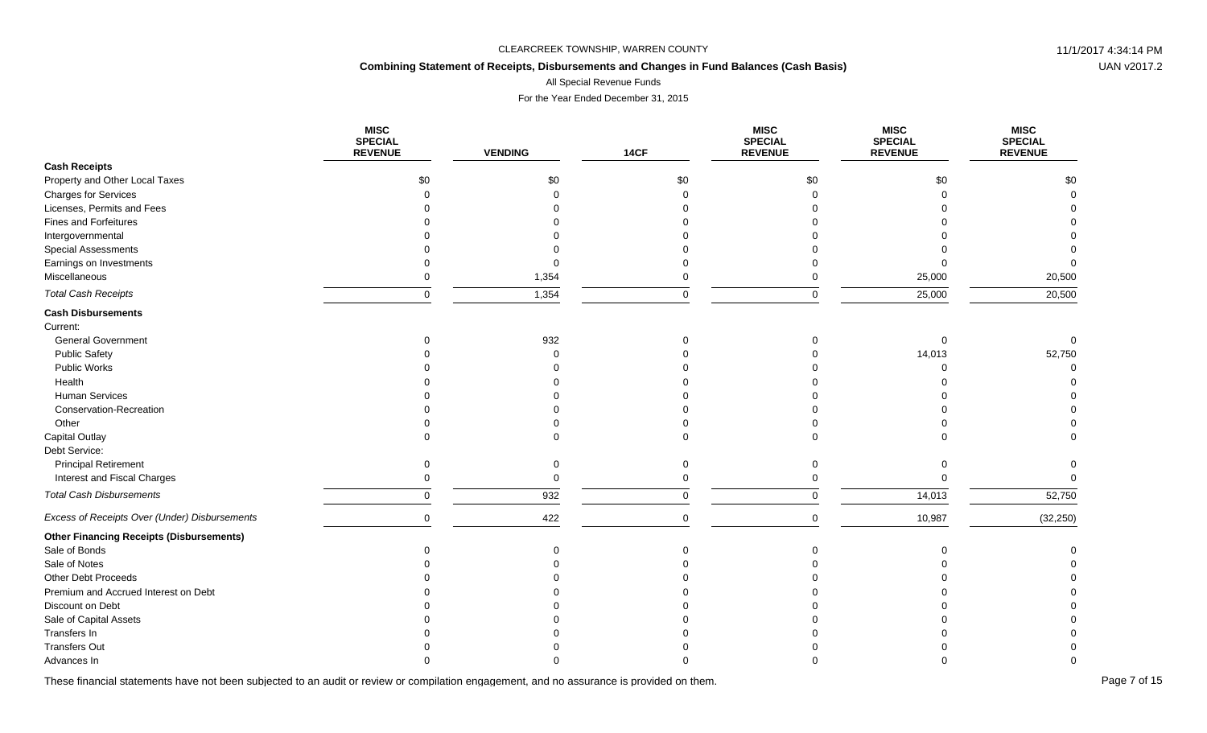## **Combining Statement of Receipts, Disbursements and Changes in Fund Balances (Cash Basis)**

All Special Revenue Funds

For the Year Ended December 31, 2015

|                                                 | <b>MISC</b><br><b>SPECIAL</b><br><b>REVENUE</b> | <b>VENDING</b> | 14CF        | <b>MISC</b><br><b>SPECIAL</b><br><b>REVENUE</b> | <b>MISC</b><br><b>SPECIAL</b><br><b>REVENUE</b> | <b>MISC</b><br><b>SPECIAL</b><br><b>REVENUE</b> |
|-------------------------------------------------|-------------------------------------------------|----------------|-------------|-------------------------------------------------|-------------------------------------------------|-------------------------------------------------|
| <b>Cash Receipts</b>                            |                                                 |                |             |                                                 |                                                 |                                                 |
| Property and Other Local Taxes                  | \$0                                             | \$0            | \$0         | \$0                                             | \$0                                             | \$0                                             |
| <b>Charges for Services</b>                     |                                                 |                | $\Omega$    | $\Omega$                                        |                                                 |                                                 |
| Licenses, Permits and Fees                      |                                                 |                |             |                                                 |                                                 |                                                 |
| <b>Fines and Forfeitures</b>                    |                                                 |                |             |                                                 |                                                 |                                                 |
| Intergovernmental                               |                                                 |                |             |                                                 |                                                 |                                                 |
| Special Assessments                             |                                                 |                |             |                                                 |                                                 |                                                 |
| Earnings on Investments                         |                                                 |                |             |                                                 |                                                 |                                                 |
| Miscellaneous                                   |                                                 | 1,354          | $\Omega$    | $\Omega$                                        | 25,000                                          | 20,500                                          |
| <b>Total Cash Receipts</b>                      | $\Omega$                                        | 1,354          | $\mathbf 0$ | $\Omega$                                        | 25,000                                          | 20,500                                          |
| <b>Cash Disbursements</b>                       |                                                 |                |             |                                                 |                                                 |                                                 |
| Current:                                        |                                                 |                |             |                                                 |                                                 |                                                 |
| <b>General Government</b>                       |                                                 | 932            | $\Omega$    | $\Omega$                                        | $\Omega$                                        |                                                 |
| <b>Public Safety</b>                            |                                                 |                |             |                                                 | 14,013                                          | 52,750                                          |
| Public Works                                    |                                                 |                |             |                                                 |                                                 |                                                 |
| Health                                          |                                                 |                |             |                                                 |                                                 |                                                 |
| Human Services                                  |                                                 |                |             |                                                 |                                                 |                                                 |
| Conservation-Recreation                         |                                                 |                |             |                                                 |                                                 |                                                 |
| Other                                           |                                                 |                |             |                                                 |                                                 |                                                 |
| Capital Outlay                                  |                                                 |                | $\Omega$    | $\Omega$                                        |                                                 |                                                 |
| Debt Service:                                   |                                                 |                |             |                                                 |                                                 |                                                 |
| <b>Principal Retirement</b>                     | $\Omega$                                        | $\Omega$       | $\Omega$    | $\Omega$                                        | $\Omega$                                        | $\Omega$                                        |
| Interest and Fiscal Charges                     |                                                 | $\Omega$       | $\Omega$    | $\Omega$                                        | $\Omega$                                        | $\Omega$                                        |
| <b>Total Cash Disbursements</b>                 | $\Omega$                                        | 932            | $\mathbf 0$ | $\mathbf 0$                                     | 14,013                                          | 52,750                                          |
| Excess of Receipts Over (Under) Disbursements   | $\mathbf 0$                                     | 422            | $\mathsf 0$ | $\mathbf 0$                                     | 10,987                                          | (32, 250)                                       |
| <b>Other Financing Receipts (Disbursements)</b> |                                                 |                |             |                                                 |                                                 |                                                 |
| Sale of Bonds                                   |                                                 |                | $\Omega$    | $\Omega$                                        | $\Omega$                                        |                                                 |
| Sale of Notes                                   |                                                 |                |             |                                                 |                                                 |                                                 |
| Other Debt Proceeds                             |                                                 |                |             |                                                 |                                                 |                                                 |
| Premium and Accrued Interest on Debt            |                                                 |                |             |                                                 |                                                 |                                                 |
| Discount on Debt                                |                                                 |                |             |                                                 |                                                 |                                                 |
| Sale of Capital Assets                          |                                                 |                |             |                                                 |                                                 |                                                 |
| Transfers In                                    |                                                 |                |             |                                                 |                                                 |                                                 |
| <b>Transfers Out</b>                            |                                                 |                |             |                                                 |                                                 |                                                 |
| Advances In                                     |                                                 |                |             |                                                 |                                                 |                                                 |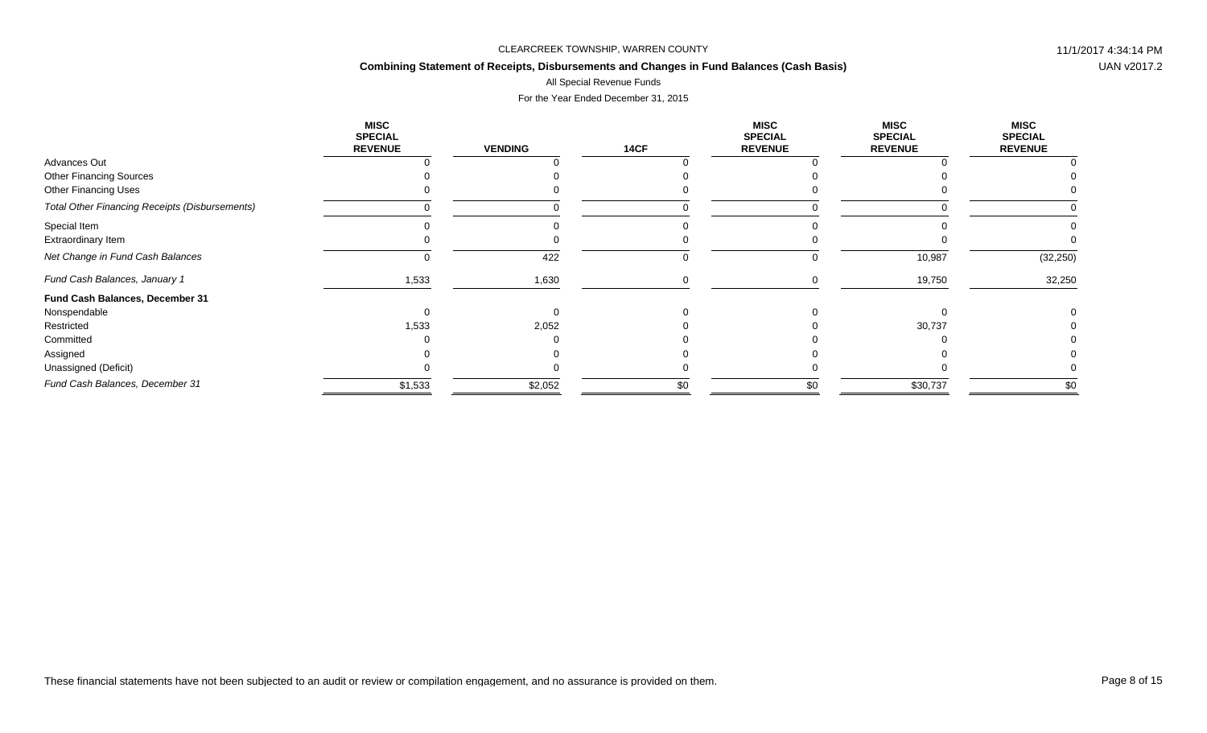## **Combining Statement of Receipts, Disbursements and Changes in Fund Balances (Cash Basis)**

# All Special Revenue Funds

|                                                       | <b>MISC</b><br><b>SPECIAL</b><br><b>REVENUE</b> | <b>VENDING</b> | <b>14CF</b> | <b>MISC</b><br><b>SPECIAL</b><br><b>REVENUE</b> | <b>MISC</b><br><b>SPECIAL</b><br><b>REVENUE</b> | <b>MISC</b><br><b>SPECIAL</b><br><b>REVENUE</b> |
|-------------------------------------------------------|-------------------------------------------------|----------------|-------------|-------------------------------------------------|-------------------------------------------------|-------------------------------------------------|
| Advances Out                                          |                                                 |                |             |                                                 |                                                 |                                                 |
| <b>Other Financing Sources</b>                        |                                                 |                |             |                                                 |                                                 |                                                 |
| <b>Other Financing Uses</b>                           |                                                 |                |             |                                                 |                                                 |                                                 |
| <b>Total Other Financing Receipts (Disbursements)</b> |                                                 |                |             |                                                 |                                                 |                                                 |
| Special Item                                          |                                                 |                |             |                                                 |                                                 |                                                 |
| Extraordinary Item                                    |                                                 |                |             |                                                 |                                                 |                                                 |
| Net Change in Fund Cash Balances                      |                                                 | 422            |             |                                                 | 10,987                                          | (32, 250)                                       |
| Fund Cash Balances, January 1                         | 1,533                                           | 1,630          |             |                                                 | 19,750                                          | 32,250                                          |
| Fund Cash Balances, December 31                       |                                                 |                |             |                                                 |                                                 |                                                 |
| Nonspendable                                          |                                                 |                |             |                                                 |                                                 |                                                 |
| Restricted                                            | 1,533                                           | 2,052          |             |                                                 | 30,737                                          |                                                 |
| Committed                                             |                                                 |                |             |                                                 |                                                 |                                                 |
| Assigned                                              |                                                 |                |             |                                                 |                                                 |                                                 |
| Unassigned (Deficit)                                  |                                                 |                |             |                                                 |                                                 |                                                 |
| Fund Cash Balances, December 31                       | \$1,533                                         | \$2,052        | \$0         | \$0                                             | \$30,737                                        | \$0                                             |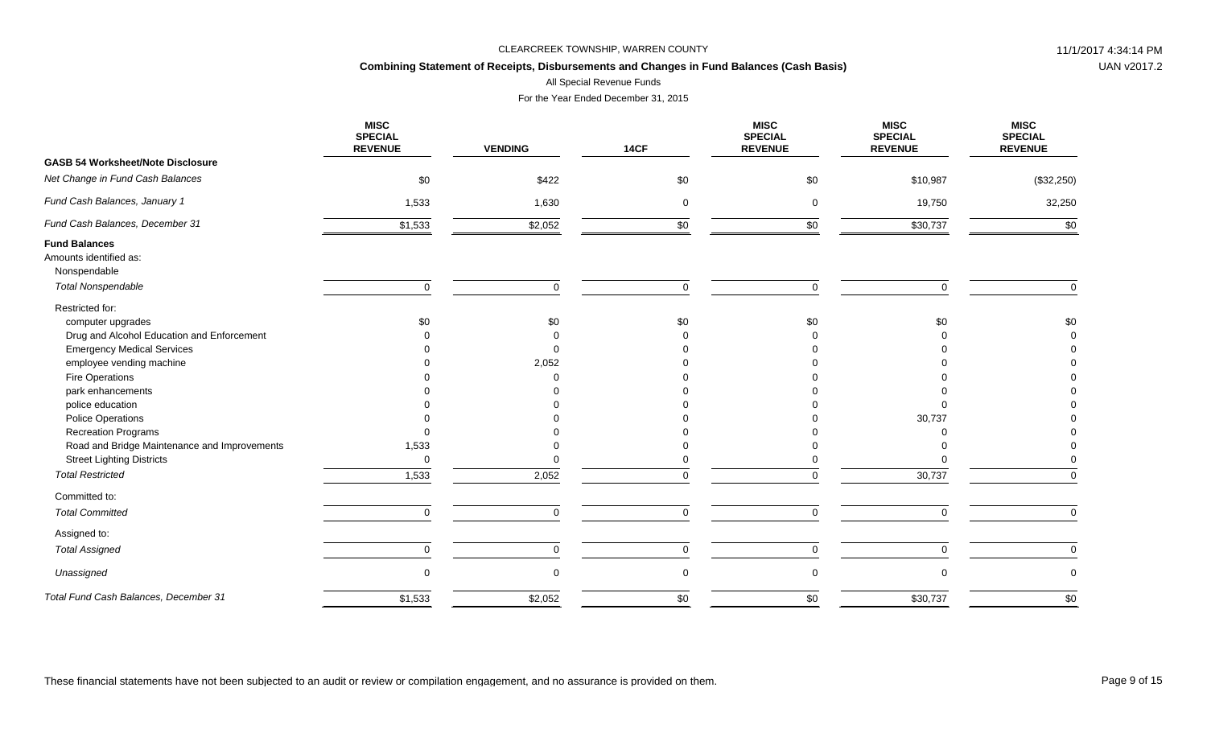## **Combining Statement of Receipts, Disbursements and Changes in Fund Balances (Cash Basis)**

All Special Revenue Funds

|                                                                | <b>MISC</b><br><b>SPECIAL</b><br><b>REVENUE</b> | <b>VENDING</b>    | <b>14CF</b> | <b>MISC</b><br><b>SPECIAL</b><br><b>REVENUE</b> | <b>MISC</b><br><b>SPECIAL</b><br><b>REVENUE</b> | <b>MISC</b><br><b>SPECIAL</b><br><b>REVENUE</b> |
|----------------------------------------------------------------|-------------------------------------------------|-------------------|-------------|-------------------------------------------------|-------------------------------------------------|-------------------------------------------------|
| <b>GASB 54 Worksheet/Note Disclosure</b>                       |                                                 |                   |             |                                                 |                                                 |                                                 |
| Net Change in Fund Cash Balances                               | \$0                                             | \$422             | \$0         | \$0                                             | \$10,987                                        | (\$32,250)                                      |
| Fund Cash Balances, January 1                                  | 1,533                                           | 1,630             | 0           | $\mathbf 0$                                     | 19,750                                          | 32,250                                          |
| Fund Cash Balances, December 31                                | \$1,533                                         | \$2,052           | \$0         | \$0                                             | \$30,737                                        | \$0                                             |
| <b>Fund Balances</b><br>Amounts identified as:<br>Nonspendable |                                                 |                   |             |                                                 |                                                 |                                                 |
| <b>Total Nonspendable</b>                                      | $\mathbf 0$                                     | $\Omega$          | $\Omega$    | $\mathbf 0$                                     | U                                               | $\Omega$                                        |
| Restricted for:                                                |                                                 |                   |             |                                                 |                                                 |                                                 |
| computer upgrades                                              | \$0                                             | \$0               | \$0         | \$0                                             | \$0                                             | \$0                                             |
| Drug and Alcohol Education and Enforcement                     |                                                 |                   |             |                                                 |                                                 |                                                 |
| <b>Emergency Medical Services</b>                              |                                                 | $\Omega$<br>2,052 |             |                                                 |                                                 |                                                 |
| employee vending machine<br>Fire Operations                    |                                                 |                   |             |                                                 |                                                 |                                                 |
| park enhancements                                              |                                                 |                   |             |                                                 |                                                 |                                                 |
| police education                                               |                                                 |                   |             |                                                 |                                                 |                                                 |
| <b>Police Operations</b>                                       |                                                 |                   |             |                                                 | 30,737                                          |                                                 |
| <b>Recreation Programs</b>                                     |                                                 |                   |             |                                                 |                                                 |                                                 |
| Road and Bridge Maintenance and Improvements                   | 1,533                                           |                   |             |                                                 |                                                 |                                                 |
| <b>Street Lighting Districts</b>                               | $\mathbf 0$                                     |                   |             |                                                 |                                                 |                                                 |
| <b>Total Restricted</b>                                        | 1,533                                           | 2,052             | $\Omega$    | $\Omega$                                        | 30,737                                          | $\Omega$                                        |
| Committed to:                                                  |                                                 |                   |             |                                                 |                                                 |                                                 |
| <b>Total Committed</b>                                         | $\Omega$                                        | $\Omega$          | $\Omega$    | $\Omega$                                        | $\Omega$                                        | $\Omega$                                        |
| Assigned to:                                                   |                                                 |                   |             |                                                 |                                                 |                                                 |
| <b>Total Assigned</b>                                          | 0                                               | $\mathbf 0$       | $\mathbf 0$ | $\overline{0}$                                  | 0                                               | $\mathbf 0$                                     |
| Unassigned                                                     | $\mathbf 0$                                     | $\Omega$          | $\mathbf 0$ | $\mathbf 0$                                     |                                                 | 0                                               |
| Total Fund Cash Balances, December 31                          | \$1,533                                         | \$2,052           | \$0         | \$0                                             | \$30,737                                        | \$0                                             |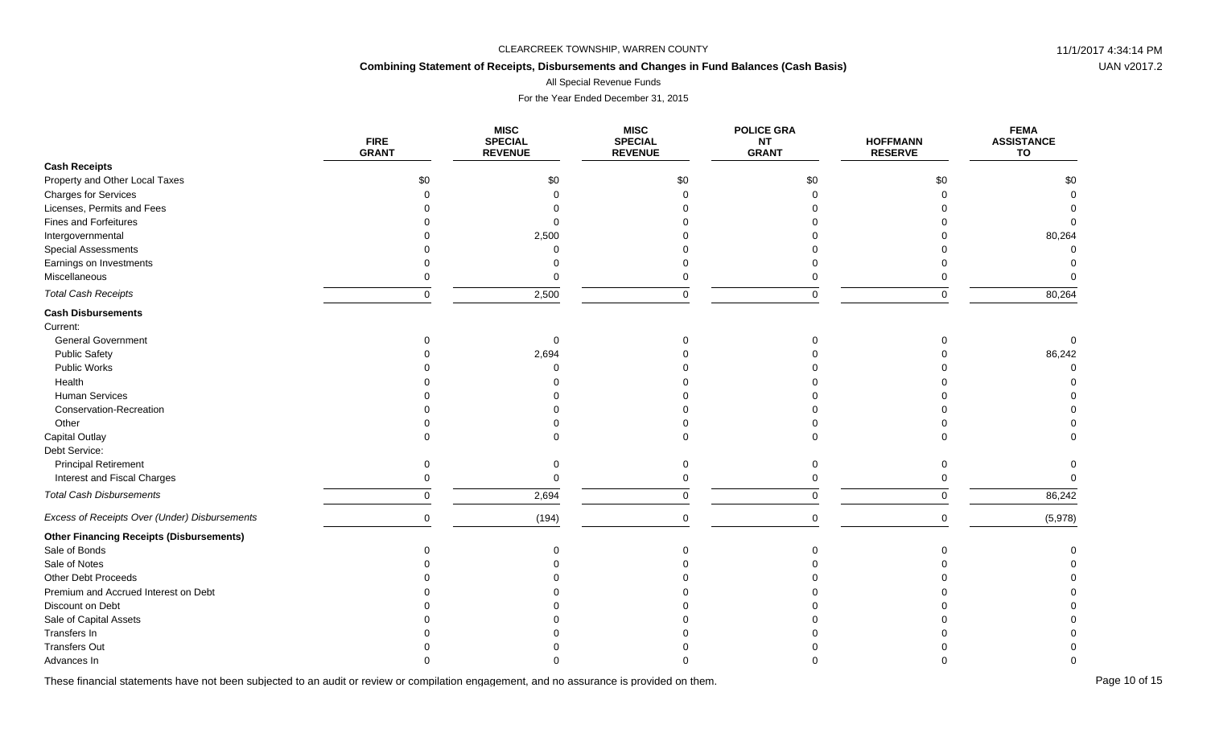## **Combining Statement of Receipts, Disbursements and Changes in Fund Balances (Cash Basis)**

All Special Revenue Funds

For the Year Ended December 31, 2015

|                                                 | <b>FIRE</b><br><b>GRANT</b> | <b>MISC</b><br><b>SPECIAL</b><br><b>REVENUE</b> | <b>MISC</b><br><b>SPECIAL</b><br><b>REVENUE</b> | <b>POLICE GRA</b><br><b>NT</b><br><b>GRANT</b> | <b>HOFFMANN</b><br><b>RESERVE</b> | <b>FEMA</b><br><b>ASSISTANCE</b><br>TO |
|-------------------------------------------------|-----------------------------|-------------------------------------------------|-------------------------------------------------|------------------------------------------------|-----------------------------------|----------------------------------------|
| <b>Cash Receipts</b>                            |                             |                                                 |                                                 |                                                |                                   |                                        |
| Property and Other Local Taxes                  | \$0                         | \$0                                             | \$0                                             | \$0                                            | \$0                               | \$0                                    |
| Charges for Services                            | $\Omega$                    |                                                 |                                                 |                                                |                                   |                                        |
| Licenses, Permits and Fees                      |                             |                                                 |                                                 |                                                |                                   |                                        |
| <b>Fines and Forfeitures</b>                    |                             |                                                 |                                                 |                                                |                                   |                                        |
| Intergovernmental                               |                             | 2,500                                           |                                                 |                                                |                                   | 80,264                                 |
| <b>Special Assessments</b>                      |                             |                                                 |                                                 |                                                |                                   |                                        |
| Earnings on Investments                         |                             |                                                 |                                                 |                                                |                                   |                                        |
| Miscellaneous                                   |                             |                                                 |                                                 |                                                |                                   |                                        |
| <b>Total Cash Receipts</b>                      | $\Omega$                    | 2,500                                           | $\Omega$                                        |                                                |                                   | 80,264                                 |
| <b>Cash Disbursements</b>                       |                             |                                                 |                                                 |                                                |                                   |                                        |
| Current:                                        |                             |                                                 |                                                 |                                                |                                   |                                        |
| <b>General Government</b>                       |                             |                                                 |                                                 |                                                |                                   |                                        |
| <b>Public Safety</b>                            |                             | 2,694                                           |                                                 |                                                |                                   | 86,242                                 |
| <b>Public Works</b>                             |                             |                                                 |                                                 |                                                |                                   |                                        |
| Health                                          |                             |                                                 |                                                 |                                                |                                   |                                        |
| Human Services                                  |                             |                                                 |                                                 |                                                |                                   |                                        |
| Conservation-Recreation                         |                             |                                                 |                                                 |                                                |                                   |                                        |
| Other                                           |                             |                                                 |                                                 |                                                |                                   |                                        |
| Capital Outlay                                  |                             |                                                 |                                                 |                                                |                                   |                                        |
| Debt Service:                                   |                             |                                                 |                                                 |                                                |                                   |                                        |
| <b>Principal Retirement</b>                     | $\Omega$                    |                                                 |                                                 |                                                |                                   |                                        |
| Interest and Fiscal Charges                     |                             |                                                 |                                                 |                                                |                                   |                                        |
| <b>Total Cash Disbursements</b>                 | $\mathbf 0$                 | 2,694                                           | $\mathbf 0$                                     |                                                | $\Omega$                          | 86,242                                 |
| Excess of Receipts Over (Under) Disbursements   | $\mathbf 0$                 | (194)                                           | $\Omega$                                        | $\Omega$                                       | $\Omega$                          | (5,978)                                |
| <b>Other Financing Receipts (Disbursements)</b> |                             |                                                 |                                                 |                                                |                                   |                                        |
| Sale of Bonds                                   | $\Omega$                    |                                                 |                                                 |                                                |                                   |                                        |
| Sale of Notes                                   |                             |                                                 |                                                 |                                                |                                   |                                        |
| Other Debt Proceeds                             |                             |                                                 |                                                 |                                                |                                   |                                        |
| Premium and Accrued Interest on Debt            |                             |                                                 |                                                 |                                                |                                   |                                        |
| Discount on Debt                                |                             |                                                 |                                                 |                                                |                                   |                                        |
| Sale of Capital Assets                          |                             |                                                 |                                                 |                                                |                                   |                                        |
| Transfers In                                    |                             |                                                 |                                                 |                                                |                                   |                                        |
| <b>Transfers Out</b>                            |                             |                                                 |                                                 |                                                |                                   |                                        |
| Advances In                                     |                             |                                                 |                                                 |                                                |                                   |                                        |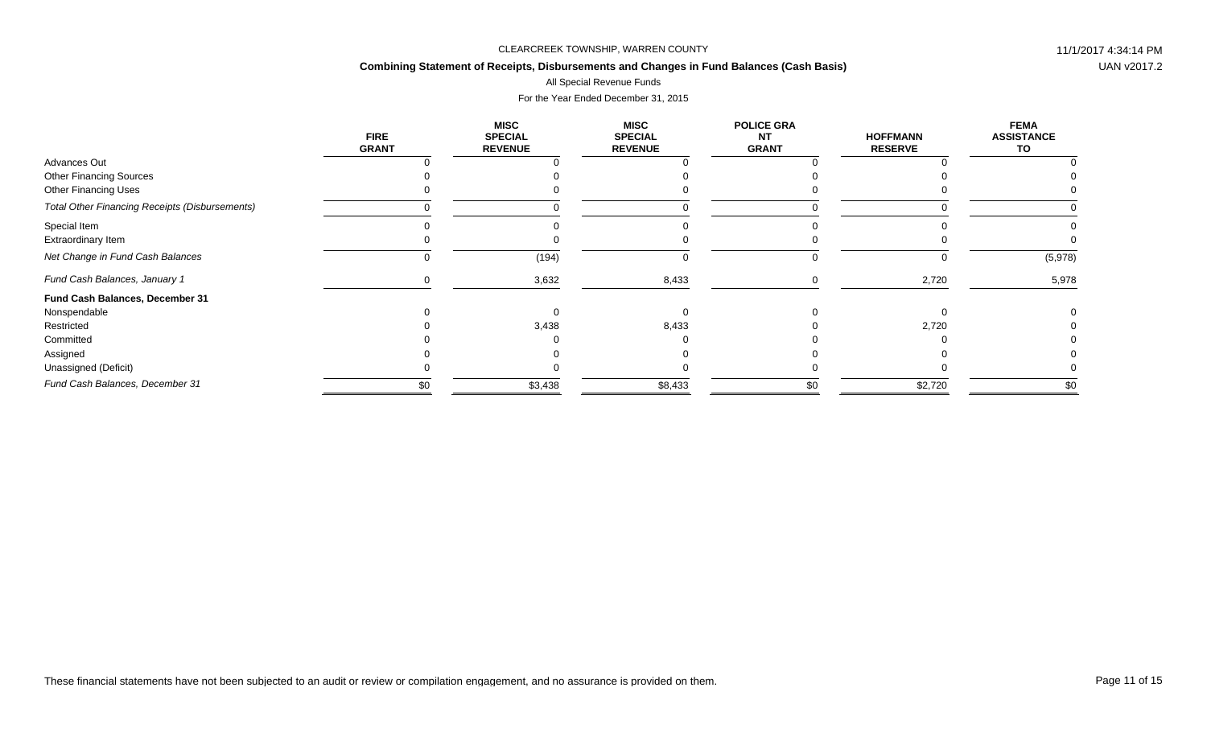## **Combining Statement of Receipts, Disbursements and Changes in Fund Balances (Cash Basis)**

### All Special Revenue Funds

|                                                       | <b>FIRE</b><br><b>GRANT</b> | <b>MISC</b><br><b>SPECIAL</b><br><b>REVENUE</b> | <b>MISC</b><br><b>SPECIAL</b><br><b>REVENUE</b> | <b>POLICE GRA</b><br><b>NT</b><br><b>GRANT</b> | <b>HOFFMANN</b><br><b>RESERVE</b> | <b>FEMA</b><br><b>ASSISTANCE</b><br>TO |
|-------------------------------------------------------|-----------------------------|-------------------------------------------------|-------------------------------------------------|------------------------------------------------|-----------------------------------|----------------------------------------|
| Advances Out                                          |                             |                                                 |                                                 |                                                |                                   |                                        |
| <b>Other Financing Sources</b>                        |                             |                                                 |                                                 |                                                |                                   |                                        |
| <b>Other Financing Uses</b>                           |                             |                                                 |                                                 |                                                |                                   |                                        |
| <b>Total Other Financing Receipts (Disbursements)</b> |                             |                                                 |                                                 |                                                |                                   |                                        |
| Special Item                                          |                             |                                                 |                                                 |                                                |                                   |                                        |
| Extraordinary Item                                    |                             |                                                 |                                                 |                                                |                                   |                                        |
| Net Change in Fund Cash Balances                      |                             | (194)                                           |                                                 |                                                |                                   | (5,978)                                |
| Fund Cash Balances, January 1                         |                             | 3,632                                           | 8,433                                           |                                                | 2,720                             | 5,978                                  |
| Fund Cash Balances, December 31                       |                             |                                                 |                                                 |                                                |                                   |                                        |
| Nonspendable                                          |                             |                                                 |                                                 |                                                |                                   |                                        |
| Restricted                                            |                             | 3,438                                           | 8,433                                           |                                                | 2,720                             |                                        |
| Committed                                             |                             |                                                 |                                                 |                                                |                                   |                                        |
| Assigned                                              |                             |                                                 |                                                 |                                                |                                   |                                        |
| Unassigned (Deficit)                                  |                             |                                                 |                                                 |                                                |                                   |                                        |
| Fund Cash Balances, December 31                       | \$0                         | \$3,438                                         | \$8,433                                         | \$0                                            | \$2,720                           | \$0                                    |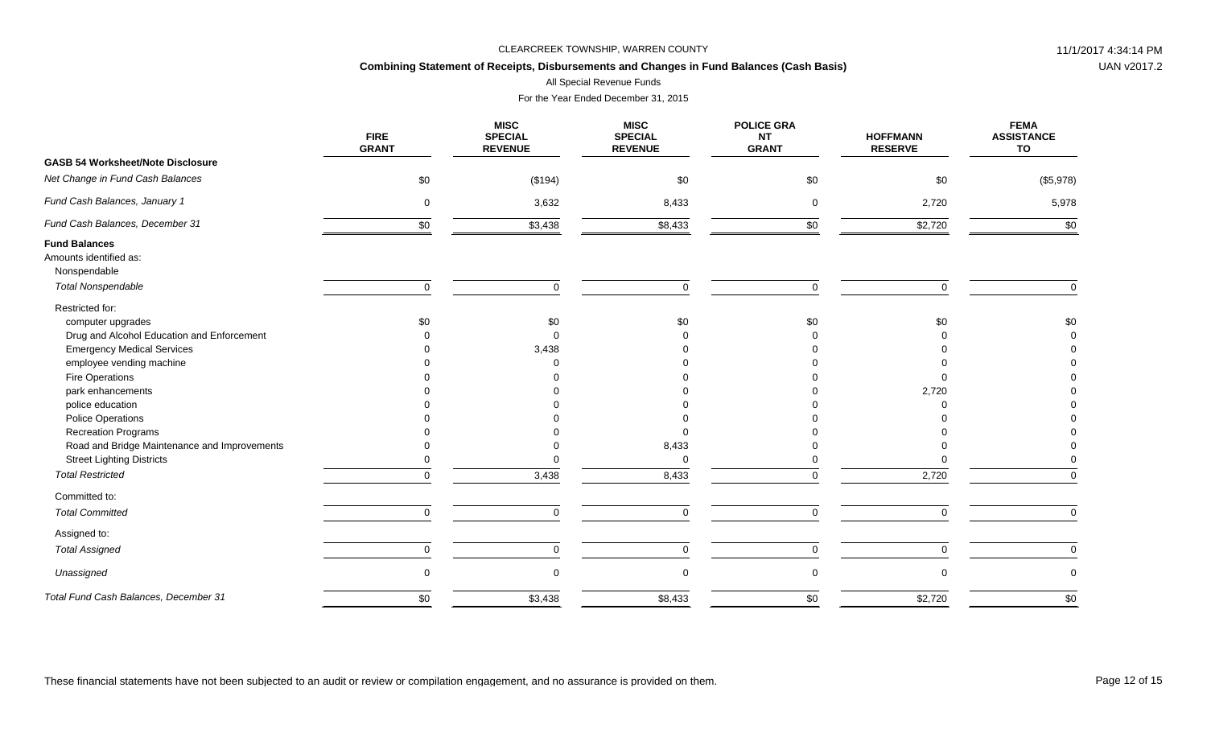## **Combining Statement of Receipts, Disbursements and Changes in Fund Balances (Cash Basis)**

All Special Revenue Funds

|                                                                | <b>FIRE</b><br><b>GRANT</b> | <b>MISC</b><br><b>SPECIAL</b><br><b>REVENUE</b> | <b>MISC</b><br><b>SPECIAL</b><br><b>REVENUE</b> | <b>POLICE GRA</b><br><b>NT</b><br><b>GRANT</b> | <b>HOFFMANN</b><br><b>RESERVE</b> | <b>FEMA</b><br><b>ASSISTANCE</b><br>TO |
|----------------------------------------------------------------|-----------------------------|-------------------------------------------------|-------------------------------------------------|------------------------------------------------|-----------------------------------|----------------------------------------|
| <b>GASB 54 Worksheet/Note Disclosure</b>                       |                             |                                                 |                                                 |                                                |                                   |                                        |
| Net Change in Fund Cash Balances                               | \$0                         | (\$194)                                         | \$0                                             | \$0                                            | \$0                               | (\$5,978)                              |
| Fund Cash Balances, January 1                                  | $\mathbf 0$                 | 3,632                                           | 8,433                                           | $\mathbf 0$                                    | 2,720                             | 5,978                                  |
| Fund Cash Balances, December 31                                | \$0                         | \$3,438                                         | \$8,433                                         | \$0                                            | \$2,720                           | \$0                                    |
| <b>Fund Balances</b><br>Amounts identified as:<br>Nonspendable |                             |                                                 |                                                 |                                                |                                   |                                        |
| <b>Total Nonspendable</b>                                      | $\mathbf 0$                 | $\Omega$                                        | $\mathbf 0$                                     | $\Omega$                                       | $\Omega$                          | $\mathbf 0$                            |
| Restricted for:<br>computer upgrades                           | \$0                         | \$0                                             | \$0                                             | \$0                                            | \$0                               | \$0                                    |
| Drug and Alcohol Education and Enforcement                     |                             |                                                 |                                                 |                                                |                                   |                                        |
| <b>Emergency Medical Services</b>                              |                             | 3,438                                           |                                                 |                                                |                                   |                                        |
| employee vending machine                                       |                             |                                                 |                                                 |                                                |                                   |                                        |
| Fire Operations                                                |                             |                                                 |                                                 |                                                |                                   |                                        |
| park enhancements                                              |                             |                                                 |                                                 |                                                | 2,720                             |                                        |
| police education                                               |                             |                                                 |                                                 |                                                |                                   |                                        |
| <b>Police Operations</b>                                       |                             |                                                 |                                                 |                                                |                                   |                                        |
| <b>Recreation Programs</b>                                     |                             |                                                 | $\Omega$                                        |                                                |                                   |                                        |
| Road and Bridge Maintenance and Improvements                   |                             |                                                 | 8,433                                           |                                                |                                   |                                        |
| <b>Street Lighting Districts</b>                               |                             |                                                 | $\mathbf 0$                                     |                                                |                                   |                                        |
| <b>Total Restricted</b>                                        | $\Omega$                    | 3,438                                           | 8,433                                           | 0                                              | 2,720                             | $\Omega$                               |
| Committed to:                                                  |                             |                                                 |                                                 |                                                |                                   |                                        |
| <b>Total Committed</b>                                         | $\Omega$                    | $\Omega$                                        | $\mathsf 0$                                     | $\Omega$                                       | $\Omega$                          | $\Omega$                               |
| Assigned to:                                                   |                             |                                                 |                                                 |                                                |                                   |                                        |
| <b>Total Assigned</b>                                          | $\mathbf 0$                 | $\Omega$                                        | $\mathbf 0$                                     | 0                                              | 0                                 | $\mathbf 0$                            |
| Unassigned                                                     | $\mathbf 0$                 |                                                 | $\mathbf 0$                                     | 0                                              | $\Omega$                          | $\mathbf 0$                            |
| Total Fund Cash Balances, December 31                          | \$0                         | \$3,438                                         | \$8,433                                         | \$0                                            | \$2,720                           | \$0                                    |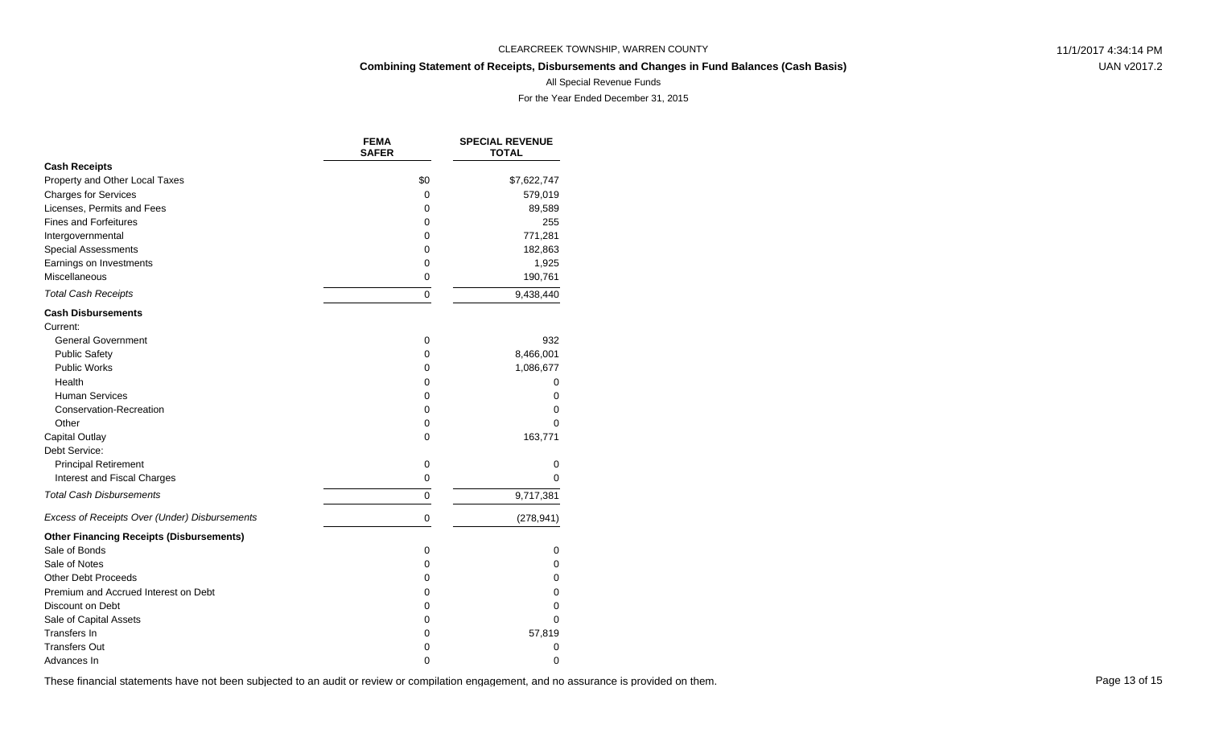## **Combining Statement of Receipts, Disbursements and Changes in Fund Balances (Cash Basis)**

UAN v2017.2

All Special Revenue Funds

For the Year Ended December 31, 2015

|                                                 | <b>FEMA</b><br><b>SAFER</b> | <b>SPECIAL REVENUE</b><br><b>TOTAL</b> |
|-------------------------------------------------|-----------------------------|----------------------------------------|
| <b>Cash Receipts</b>                            |                             |                                        |
| Property and Other Local Taxes                  | \$0                         | \$7,622,747                            |
| <b>Charges for Services</b>                     | 0                           | 579,019                                |
| Licenses, Permits and Fees                      | 0                           | 89,589                                 |
| <b>Fines and Forfeitures</b>                    | 0                           | 255                                    |
| Intergovernmental                               | 0                           | 771,281                                |
| <b>Special Assessments</b>                      | 0                           | 182,863                                |
| Earnings on Investments                         | 0                           | 1,925                                  |
| Miscellaneous                                   | 0                           | 190,761                                |
| <b>Total Cash Receipts</b>                      | $\Omega$                    | 9,438,440                              |
| <b>Cash Disbursements</b>                       |                             |                                        |
| Current:                                        |                             |                                        |
| <b>General Government</b>                       | $\mathbf 0$                 | 932                                    |
| <b>Public Safety</b>                            | 0                           | 8,466,001                              |
| <b>Public Works</b>                             | 0                           | 1,086,677                              |
| Health                                          | 0                           | 0                                      |
| <b>Human Services</b>                           | 0                           | 0                                      |
| Conservation-Recreation                         | 0                           | 0                                      |
| Other                                           | 0                           | 0                                      |
| <b>Capital Outlay</b>                           | 0                           | 163,771                                |
| Debt Service:                                   |                             |                                        |
| <b>Principal Retirement</b>                     | 0                           | 0                                      |
| Interest and Fiscal Charges                     | 0                           | 0                                      |
| <b>Total Cash Disbursements</b>                 | $\mathbf 0$                 | 9,717,381                              |
| Excess of Receipts Over (Under) Disbursements   | $\mathbf 0$                 | (278, 941)                             |
| <b>Other Financing Receipts (Disbursements)</b> |                             |                                        |
| Sale of Bonds                                   | $\mathbf 0$                 | 0                                      |
| Sale of Notes                                   | 0                           | 0                                      |
| <b>Other Debt Proceeds</b>                      | 0                           | 0                                      |
| Premium and Accrued Interest on Debt            | 0                           | 0                                      |
| Discount on Debt                                | 0                           | 0                                      |
| Sale of Capital Assets                          | 0                           | 0                                      |
| Transfers In                                    | 0                           | 57,819                                 |
| <b>Transfers Out</b>                            | 0                           | 0                                      |
| Advances In                                     | 0                           | 0                                      |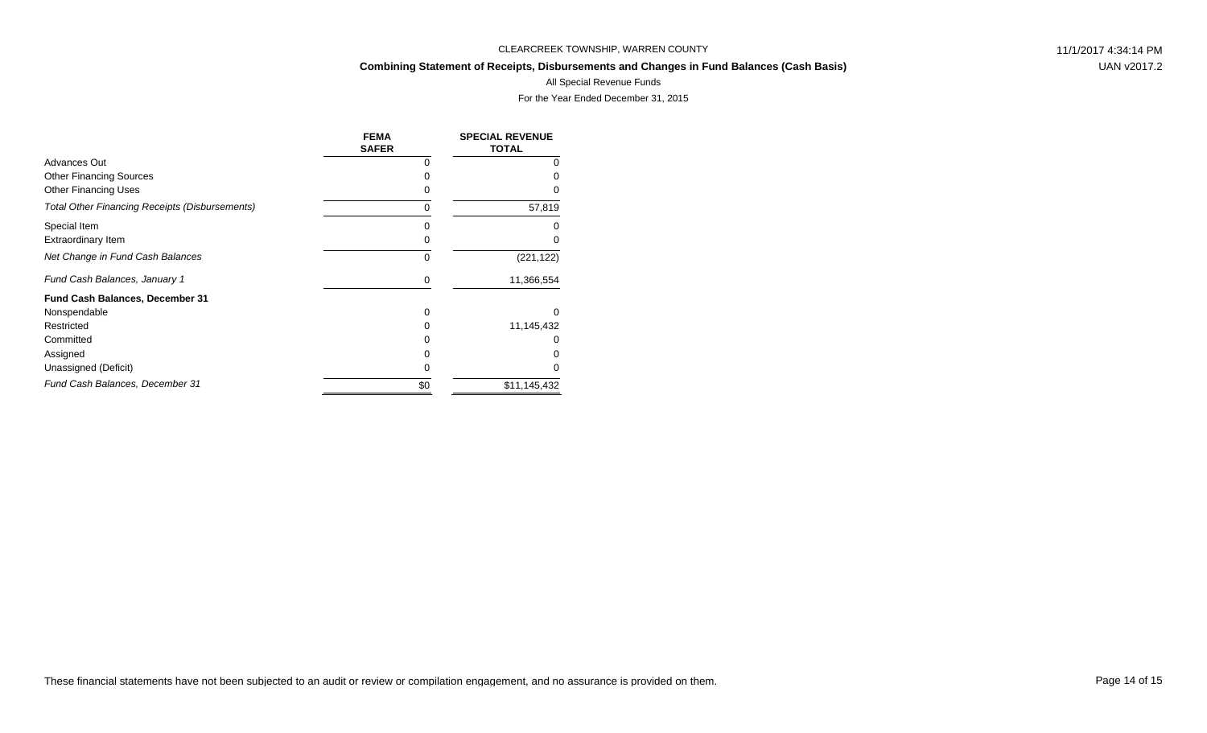## **Combining Statement of Receipts, Disbursements and Changes in Fund Balances (Cash Basis)**

UAN v2017.2

### All Special Revenue Funds

|                                                | <b>FEMA</b><br><b>SAFER</b> | <b>SPECIAL REVENUE</b><br><b>TOTAL</b> |
|------------------------------------------------|-----------------------------|----------------------------------------|
| Advances Out                                   |                             |                                        |
| <b>Other Financing Sources</b>                 |                             |                                        |
| <b>Other Financing Uses</b>                    | 0                           |                                        |
| Total Other Financing Receipts (Disbursements) | 0                           | 57,819                                 |
| Special Item                                   | 0                           |                                        |
| <b>Extraordinary Item</b>                      | 0                           |                                        |
| Net Change in Fund Cash Balances               | $\Omega$                    | (221, 122)                             |
| Fund Cash Balances, January 1                  | 0                           | 11,366,554                             |
| Fund Cash Balances, December 31                |                             |                                        |
| Nonspendable                                   | 0                           | <sup>0</sup>                           |
| Restricted                                     | <sup>0</sup>                | 11,145,432                             |
| Committed                                      |                             |                                        |
| Assigned                                       |                             |                                        |
| Unassigned (Deficit)                           | 0                           |                                        |
| Fund Cash Balances, December 31                | \$0                         | \$11,145,432                           |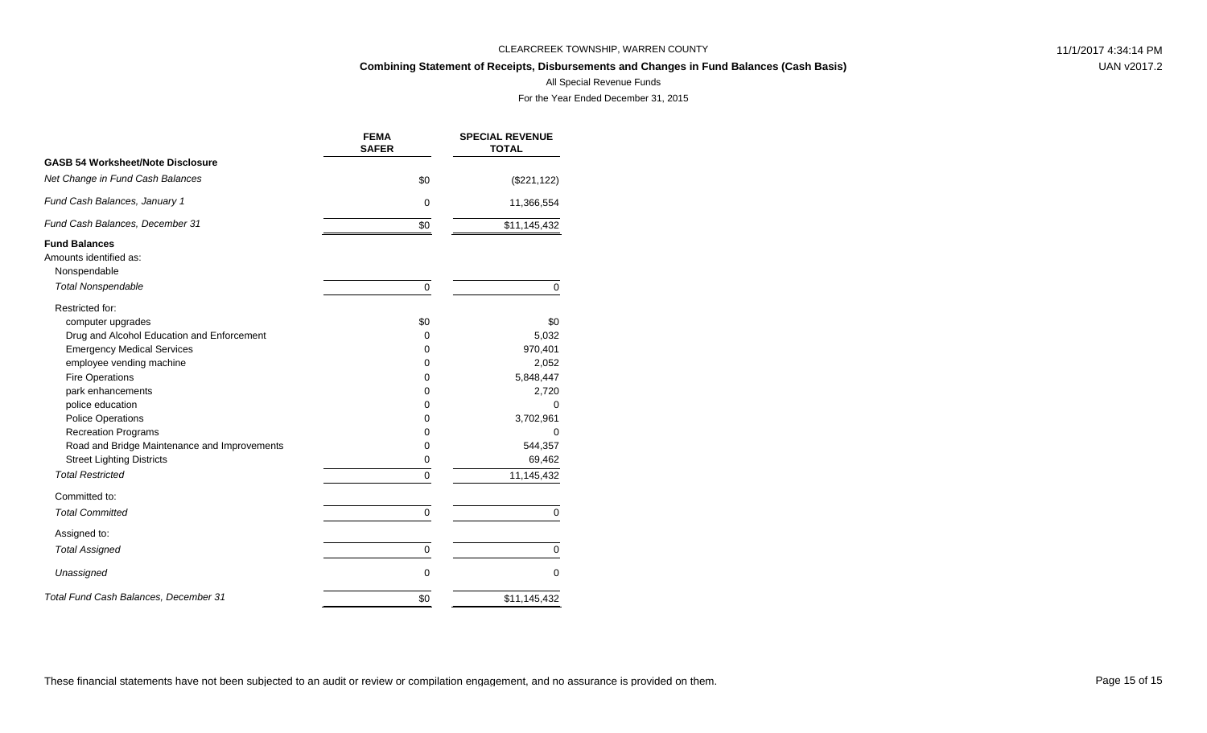## **Combining Statement of Receipts, Disbursements and Changes in Fund Balances (Cash Basis)**

UAN v2017.2

### All Special Revenue Funds

|                                              | <b>FEMA</b><br><b>SAFER</b> | <b>SPECIAL REVENUE</b><br><b>TOTAL</b> |
|----------------------------------------------|-----------------------------|----------------------------------------|
| <b>GASB 54 Worksheet/Note Disclosure</b>     |                             |                                        |
| Net Change in Fund Cash Balances             | \$0                         | (\$221, 122)                           |
| Fund Cash Balances, January 1                | $\mathbf 0$                 | 11,366,554                             |
| Fund Cash Balances, December 31              | \$0                         | \$11,145,432                           |
| <b>Fund Balances</b>                         |                             |                                        |
| Amounts identified as:                       |                             |                                        |
| Nonspendable                                 |                             |                                        |
| <b>Total Nonspendable</b>                    | $\mathbf 0$                 | 0                                      |
| Restricted for:                              |                             |                                        |
| computer upgrades                            | \$0                         | \$0                                    |
| Drug and Alcohol Education and Enforcement   | 0                           | 5,032                                  |
| <b>Emergency Medical Services</b>            | 0                           | 970,401                                |
| employee vending machine                     | 0                           | 2,052                                  |
| <b>Fire Operations</b>                       | 0                           | 5,848,447                              |
| park enhancements                            | 0                           | 2,720                                  |
| police education                             | 0                           | $\Omega$                               |
| <b>Police Operations</b>                     | 0                           | 3,702,961                              |
| <b>Recreation Programs</b>                   | 0                           | 0                                      |
| Road and Bridge Maintenance and Improvements | 0                           | 544,357                                |
| <b>Street Lighting Districts</b>             | 0                           | 69,462                                 |
| <b>Total Restricted</b>                      | 0                           | 11,145,432                             |
| Committed to:                                |                             |                                        |
| <b>Total Committed</b>                       | 0                           | 0                                      |
| Assigned to:                                 |                             |                                        |
| <b>Total Assigned</b>                        | 0                           | 0                                      |
| Unassigned                                   | $\mathbf 0$                 | 0                                      |
| Total Fund Cash Balances, December 31        | \$0                         | \$11,145,432                           |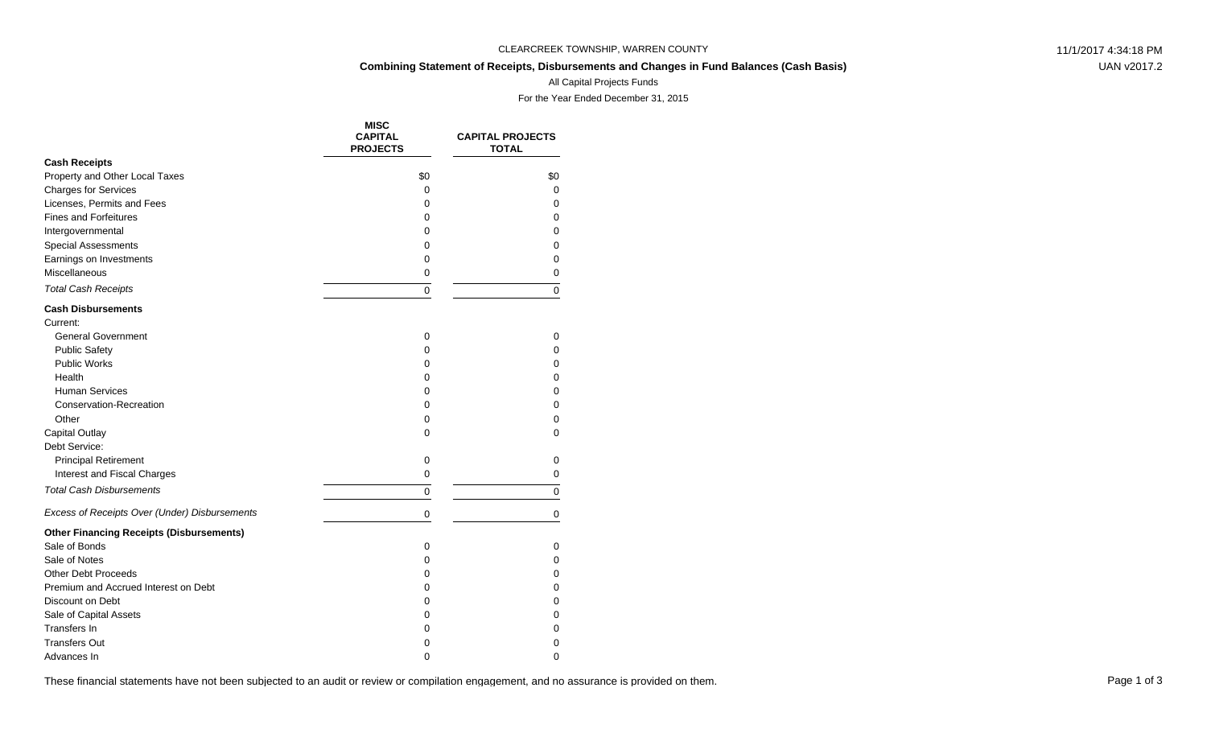## **Combining Statement of Receipts, Disbursements and Changes in Fund Balances (Cash Basis)**

UAN v2017.2

### All Capital Projects Funds

For the Year Ended December 31, 2015

|                                                 | <b>MISC</b><br><b>CAPITAL</b><br><b>PROJECTS</b> | <b>CAPITAL PROJECTS</b><br><b>TOTAL</b> |
|-------------------------------------------------|--------------------------------------------------|-----------------------------------------|
| <b>Cash Receipts</b>                            |                                                  |                                         |
| Property and Other Local Taxes                  | \$0                                              | \$0                                     |
| <b>Charges for Services</b>                     | 0                                                | 0                                       |
| Licenses, Permits and Fees                      | 0                                                | $\Omega$                                |
| <b>Fines and Forfeitures</b>                    | 0                                                | $\Omega$                                |
| Intergovernmental                               | 0                                                | $\Omega$                                |
| <b>Special Assessments</b>                      | 0                                                | 0                                       |
| Earnings on Investments                         | 0                                                | 0                                       |
| Miscellaneous                                   | 0                                                | 0                                       |
| <b>Total Cash Receipts</b>                      | 0                                                | $\Omega$                                |
| <b>Cash Disbursements</b>                       |                                                  |                                         |
| Current:                                        |                                                  |                                         |
| <b>General Government</b>                       | $\mathbf 0$                                      | 0                                       |
| <b>Public Safety</b>                            | 0                                                | $\Omega$                                |
| Public Works                                    | 0                                                | 0                                       |
| Health                                          | 0                                                | 0                                       |
| <b>Human Services</b>                           | 0                                                | $\Omega$                                |
| <b>Conservation-Recreation</b>                  | 0                                                | 0                                       |
| Other                                           | 0                                                | 0                                       |
| <b>Capital Outlay</b>                           | 0                                                | 0                                       |
| Debt Service:                                   |                                                  |                                         |
| <b>Principal Retirement</b>                     | $\mathbf 0$                                      | 0                                       |
| Interest and Fiscal Charges                     | 0                                                | 0                                       |
| <b>Total Cash Disbursements</b>                 | 0                                                | 0                                       |
| Excess of Receipts Over (Under) Disbursements   | 0                                                | 0                                       |
| <b>Other Financing Receipts (Disbursements)</b> |                                                  |                                         |
| Sale of Bonds                                   | 0                                                | 0                                       |
| Sale of Notes                                   | 0                                                | $\Omega$                                |
| <b>Other Debt Proceeds</b>                      | 0                                                | 0                                       |
| Premium and Accrued Interest on Debt            | 0                                                | 0                                       |
| Discount on Debt                                | 0                                                | $\mathbf 0$                             |
| Sale of Capital Assets                          | 0                                                | 0                                       |
| Transfers In                                    | 0                                                | 0                                       |
| <b>Transfers Out</b>                            | 0                                                | 0                                       |
| Advances In                                     | $\Omega$                                         | $\Omega$                                |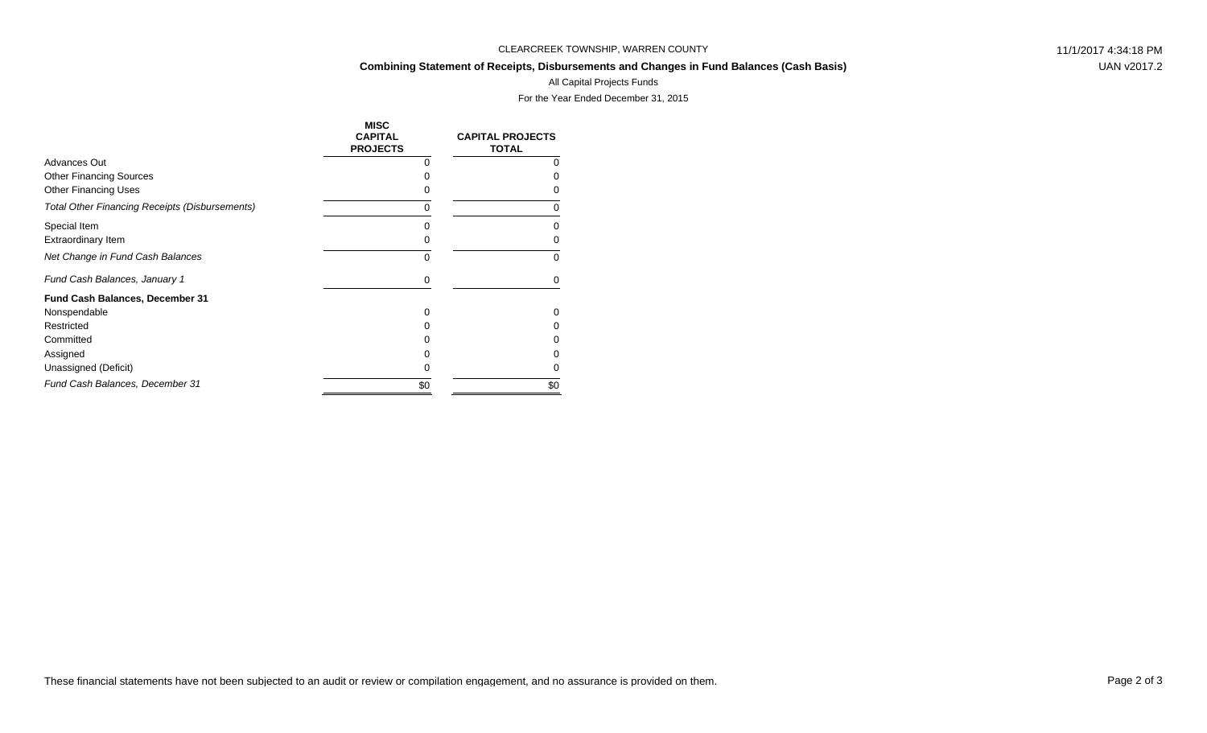#### **Combining Statement of Receipts, Disbursements and Changes in Fund Balances (Cash Basis)**

UAN v2017.2

# All Capital Projects Funds

|                                                       | <b>MISC</b><br><b>CAPITAL</b><br><b>PROJECTS</b> | <b>CAPITAL PROJECTS</b><br><b>TOTAL</b> |
|-------------------------------------------------------|--------------------------------------------------|-----------------------------------------|
| <b>Advances Out</b>                                   | 0                                                | 0                                       |
| <b>Other Financing Sources</b>                        | O                                                | O                                       |
| <b>Other Financing Uses</b>                           | O                                                |                                         |
| <b>Total Other Financing Receipts (Disbursements)</b> | 0                                                | 0                                       |
| Special Item                                          | 0                                                | 0                                       |
| <b>Extraordinary Item</b>                             | 0                                                | 0                                       |
| Net Change in Fund Cash Balances                      | $\Omega$                                         | $\Omega$                                |
| Fund Cash Balances, January 1                         | 0                                                | 0                                       |
| Fund Cash Balances, December 31                       |                                                  |                                         |
| Nonspendable                                          | 0                                                | 0                                       |
| Restricted                                            | 0                                                | 0                                       |
| Committed                                             |                                                  |                                         |
| Assigned                                              | 0                                                |                                         |
| Unassigned (Deficit)                                  | 0                                                | O                                       |
| Fund Cash Balances, December 31                       | \$0                                              | \$0                                     |